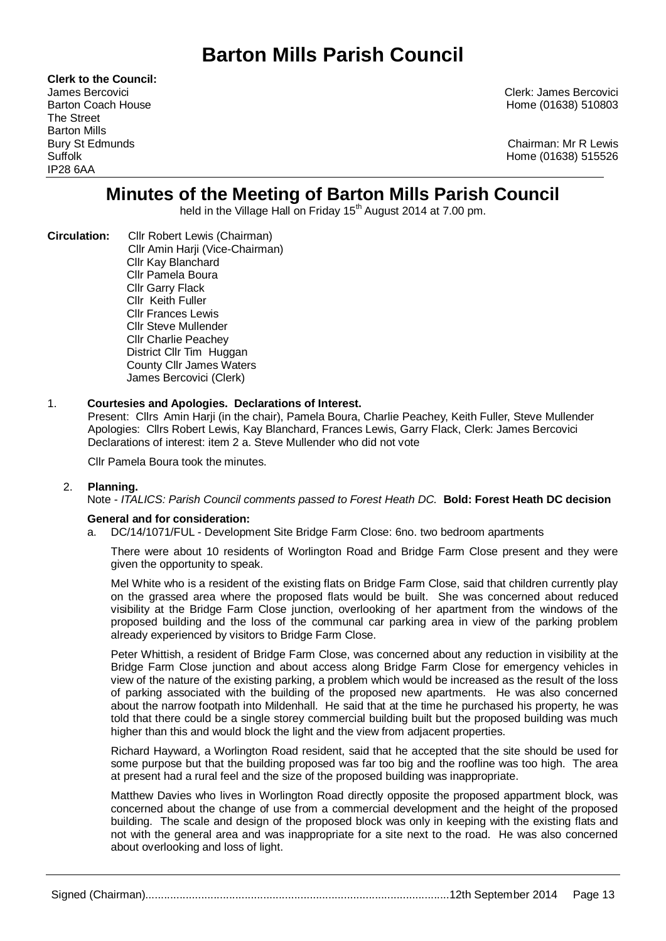# **Barton Mills Parish Council**

**Clerk to the Council:** The Street Barton Mills IP28 6AA

James Bercovici Clerk: James Bercovici Home (01638) 510803

Bury St Edmunds Chairman: Mr R Lewis Suffolk Home (01638) 515526

## **Minutes of the Meeting of Barton Mills Parish Council**

held in the Village Hall on Friday 15<sup>th</sup> August 2014 at 7.00 pm.

**Circulation:** Cllr Robert Lewis (Chairman) Cllr Amin Harji (Vice-Chairman) Cllr Kay Blanchard Cllr Pamela Boura Cllr Garry Flack Cllr Keith Fuller Cllr Frances Lewis Cllr Steve Mullender Cllr Charlie Peachey District Cllr Tim Huggan County Cllr James Waters James Bercovici (Clerk)

### 1. **Courtesies and Apologies. Declarations of Interest.**

Present: Cllrs Amin Harji (in the chair), Pamela Boura, Charlie Peachey, Keith Fuller, Steve Mullender Apologies: Cllrs Robert Lewis, Kay Blanchard, Frances Lewis, Garry Flack, Clerk: James Bercovici Declarations of interest: item 2 a. Steve Mullender who did not vote

Cllr Pamela Boura took the minutes.

#### 2. **Planning.**

Note - *ITALICS: Parish Council comments passed to Forest Heath DC.* **Bold: Forest Heath DC decision**

#### **General and for consideration:**

a. DC/14/1071/FUL - Development Site Bridge Farm Close: 6no. two bedroom apartments

There were about 10 residents of Worlington Road and Bridge Farm Close present and they were given the opportunity to speak.

Mel White who is a resident of the existing flats on Bridge Farm Close, said that children currently play on the grassed area where the proposed flats would be built. She was concerned about reduced visibility at the Bridge Farm Close junction, overlooking of her apartment from the windows of the proposed building and the loss of the communal car parking area in view of the parking problem already experienced by visitors to Bridge Farm Close.

Peter Whittish, a resident of Bridge Farm Close, was concerned about any reduction in visibility at the Bridge Farm Close junction and about access along Bridge Farm Close for emergency vehicles in view of the nature of the existing parking, a problem which would be increased as the result of the loss of parking associated with the building of the proposed new apartments. He was also concerned about the narrow footpath into Mildenhall. He said that at the time he purchased his property, he was told that there could be a single storey commercial building built but the proposed building was much higher than this and would block the light and the view from adjacent properties.

Richard Hayward, a Worlington Road resident, said that he accepted that the site should be used for some purpose but that the building proposed was far too big and the roofline was too high. The area at present had a rural feel and the size of the proposed building was inappropriate.

Matthew Davies who lives in Worlington Road directly opposite the proposed appartment block, was concerned about the change of use from a commercial development and the height of the proposed building. The scale and design of the proposed block was only in keeping with the existing flats and not with the general area and was inappropriate for a site next to the road. He was also concerned about overlooking and loss of light.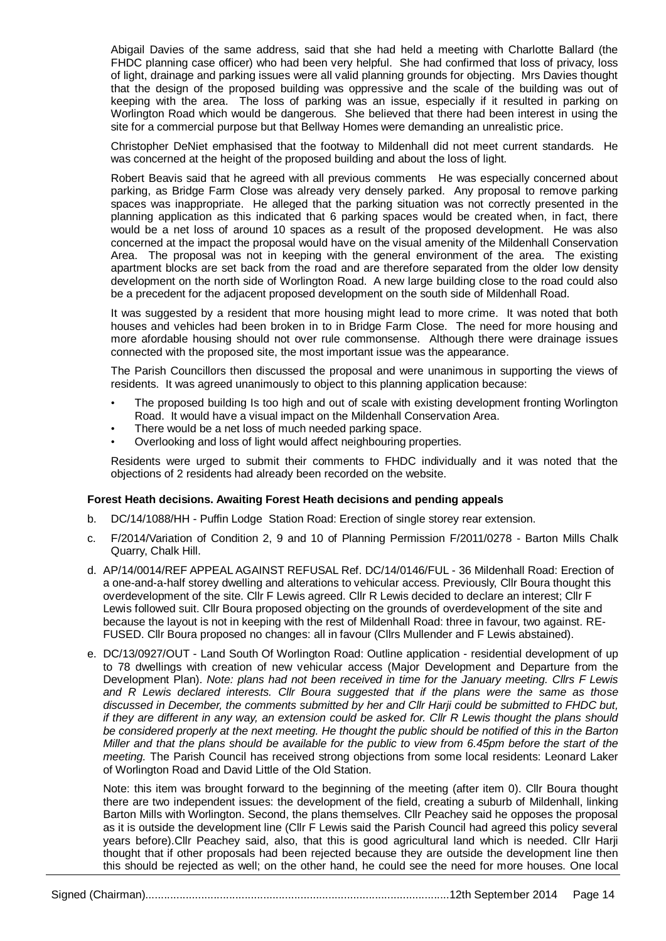Abigail Davies of the same address, said that she had held a meeting with Charlotte Ballard (the FHDC planning case officer) who had been very helpful. She had confirmed that loss of privacy, loss of light, drainage and parking issues were all valid planning grounds for objecting. Mrs Davies thought that the design of the proposed building was oppressive and the scale of the building was out of keeping with the area. The loss of parking was an issue, especially if it resulted in parking on Worlington Road which would be dangerous. She believed that there had been interest in using the site for a commercial purpose but that Bellway Homes were demanding an unrealistic price.

Christopher DeNiet emphasised that the footway to Mildenhall did not meet current standards. He was concerned at the height of the proposed building and about the loss of light.

Robert Beavis said that he agreed with all previous comments He was especially concerned about parking, as Bridge Farm Close was already very densely parked. Any proposal to remove parking spaces was inappropriate. He alleged that the parking situation was not correctly presented in the planning application as this indicated that 6 parking spaces would be created when, in fact, there would be a net loss of around 10 spaces as a result of the proposed development. He was also concerned at the impact the proposal would have on the visual amenity of the Mildenhall Conservation Area. The proposal was not in keeping with the general environment of the area. The existing apartment blocks are set back from the road and are therefore separated from the older low density development on the north side of Worlington Road. A new large building close to the road could also be a precedent for the adjacent proposed development on the south side of Mildenhall Road.

It was suggested by a resident that more housing might lead to more crime. It was noted that both houses and vehicles had been broken in to in Bridge Farm Close. The need for more housing and more afordable housing should not over rule commonsense. Although there were drainage issues connected with the proposed site, the most important issue was the appearance.

The Parish Councillors then discussed the proposal and were unanimous in supporting the views of residents. It was agreed unanimously to object to this planning application because:

- The proposed building Is too high and out of scale with existing development fronting Worlington Road. It would have a visual impact on the Mildenhall Conservation Area.
- There would be a net loss of much needed parking space.
- Overlooking and loss of light would affect neighbouring properties.

Residents were urged to submit their comments to FHDC individually and it was noted that the objections of 2 residents had already been recorded on the website.

#### **Forest Heath decisions. Awaiting Forest Heath decisions and pending appeals**

- b. DC/14/1088/HH Puffin Lodge Station Road: Erection of single storey rear extension.
- c. F/2014/Variation of Condition 2, 9 and 10 of Planning Permission F/2011/0278 Barton Mills Chalk Quarry, Chalk Hill.
- d. AP/14/0014/REF APPEAL AGAINST REFUSAL Ref. DC/14/0146/FUL 36 Mildenhall Road: Erection of a one-and-a-half storey dwelling and alterations to vehicular access. Previously, Cllr Boura thought this overdevelopment of the site. Cllr F Lewis agreed. Cllr R Lewis decided to declare an interest; Cllr F Lewis followed suit. Cllr Boura proposed objecting on the grounds of overdevelopment of the site and because the layout is not in keeping with the rest of Mildenhall Road: three in favour, two against. RE-FUSED. Cllr Boura proposed no changes: all in favour (Cllrs Mullender and F Lewis abstained).
- e. DC/13/0927/OUT Land South Of Worlington Road: Outline application residential development of up to 78 dwellings with creation of new vehicular access (Major Development and Departure from the Development Plan). *Note: plans had not been received in time for the January meeting. Cllrs F Lewis and R Lewis declared interests. Cllr Boura suggested that if the plans were the same as those discussed in December, the comments submitted by her and Cllr Harji could be submitted to FHDC but, if they are different in any way, an extension could be asked for. Cllr R Lewis thought the plans should be considered properly at the next meeting. He thought the public should be notified of this in the Barton Miller and that the plans should be available for the public to view from 6.45pm before the start of the meeting.* The Parish Council has received strong objections from some local residents: Leonard Laker of Worlington Road and David Little of the Old Station.

Note: this item was brought forward to the beginning of the meeting (after item 0). Cllr Boura thought there are two independent issues: the development of the field, creating a suburb of Mildenhall, linking Barton Mills with Worlington. Second, the plans themselves. Cllr Peachey said he opposes the proposal as it is outside the development line (Cllr F Lewis said the Parish Council had agreed this policy several years before).Cllr Peachey said, also, that this is good agricultural land which is needed. Cllr Harji thought that if other proposals had been rejected because they are outside the development line then this should be rejected as well; on the other hand, he could see the need for more houses. One local